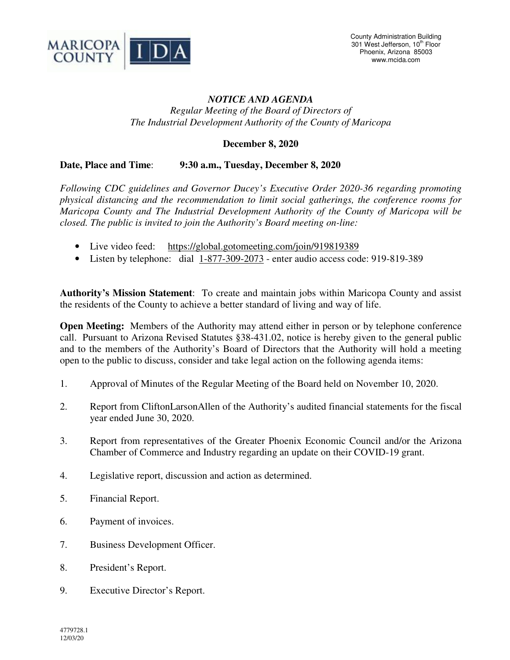

## *NOTICE AND AGENDA Regular Meeting of the Board of Directors of The Industrial Development Authority of the County of Maricopa*

## **December 8, 2020**

## **Date, Place and Time**: **9:30 a.m., Tuesday, December 8, 2020**

*Following CDC guidelines and Governor Ducey's Executive Order 2020-36 regarding promoting physical distancing and the recommendation to limit social gatherings, the conference rooms for Maricopa County and The Industrial Development Authority of the County of Maricopa will be closed. The public is invited to join the Authority's Board meeting on-line:* 

- Live video feed: https://global.gotomeeting.com/join/919819389
- Listen by telephone: dial 1-877-309-2073 enter audio access code: 919-819-389

**Authority's Mission Statement**: To create and maintain jobs within Maricopa County and assist the residents of the County to achieve a better standard of living and way of life.

**Open Meeting:** Members of the Authority may attend either in person or by telephone conference call. Pursuant to Arizona Revised Statutes §38-431.02, notice is hereby given to the general public and to the members of the Authority's Board of Directors that the Authority will hold a meeting open to the public to discuss, consider and take legal action on the following agenda items:

- 1. Approval of Minutes of the Regular Meeting of the Board held on November 10, 2020.
- 2. Report from CliftonLarsonAllen of the Authority's audited financial statements for the fiscal year ended June 30, 2020.
- 3. Report from representatives of the Greater Phoenix Economic Council and/or the Arizona Chamber of Commerce and Industry regarding an update on their COVID-19 grant.
- 4. Legislative report, discussion and action as determined.
- 5. Financial Report.
- 6. Payment of invoices.
- 7. Business Development Officer.
- 8. President's Report.
- 9. Executive Director's Report.